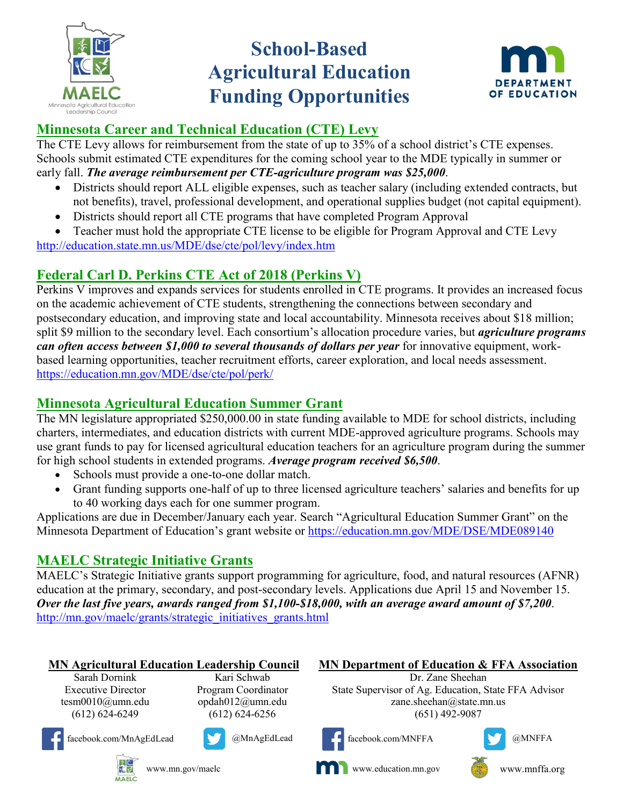

# **School-Based Agricultural Education Funding Opportunities**



# **Minnesota Career and Technical Education (CTE) Levy**

The CTE Levy allows for reimbursement from the state of up to 35% of a school district's CTE expenses. Schools submit estimated CTE expenditures for the coming school year to the MDE typically in summer or early fall. *The average reimbursement per CTE-agriculture program was \$25,000*.

- Districts should report ALL eligible expenses, such as teacher salary (including extended contracts, but not benefits), travel, professional development, and operational supplies budget (not capital equipment).
- Districts should report all CTE programs that have completed Program Approval
- Teacher must hold the appropriate CTE license to be eligible for Program Approval and CTE Levy <http://education.state.mn.us/MDE/dse/cte/pol/levy/index.htm>

# **Federal Carl D. Perkins CTE Act of 2018 (Perkins V)**

Perkins V improves and expands services for students enrolled in CTE programs. It provides an increased focus on the academic achievement of CTE students, strengthening the connections between secondary and postsecondary education, and improving state and local accountability. Minnesota receives about \$18 million; split \$9 million to the secondary level. Each consortium's allocation procedure varies, but *agriculture programs can often access between \$1,000 to several thousands of dollars per year* for innovative equipment, workbased learning opportunities, teacher recruitment efforts, career exploration, and local needs assessment. <https://education.mn.gov/MDE/dse/cte/pol/perk/>

## **Minnesota Agricultural Education Summer Grant**

The MN legislature appropriated \$250,000.00 in state funding available to MDE for school districts, including charters, intermediates, and education districts with current MDE-approved agriculture programs. Schools may use grant funds to pay for licensed agricultural education teachers for an agriculture program during the summer for high school students in extended programs. *Average program received \$6,500*.

- Schools must provide a one-to-one dollar match.
- Grant funding supports one-half of up to three licensed agriculture teachers' salaries and benefits for up to 40 working days each for one summer program.

Applications are due in December/January each year. Search "Agricultural Education Summer Grant" on the Minnesota Department of Education's grant website or<https://education.mn.gov/MDE/DSE/MDE089140>

# **MAELC Strategic Initiative Grants**

MAELC's Strategic Initiative grants support programming for agriculture, food, and natural resources (AFNR) education at the primary, secondary, and post-secondary levels. Applications due April 15 and November 15. *Over the last five years, awards ranged from \$1,100-\$18,000, with an average award amount of \$7,200*. [http://mn.gov/maelc/grants/strategic\\_initiatives\\_grants.html](http://mn.gov/maelc/grants/strategic_initiatives_grants.html)

#### **MN Agricultural Education Leadership Council MN Department of Education & FFA Association**

Sarah Dornink Executive Director tesm0010@umn.edu (612) 624-6249

Kari Schwab Program Coordinator opdah012@umn.edu (612) 624-6256



facebook.com/MnAgEdLead @MnAgEdLead











王 www.mn.gov/maelc **I** C **MAELC** 



Dr. Zane Sheehan

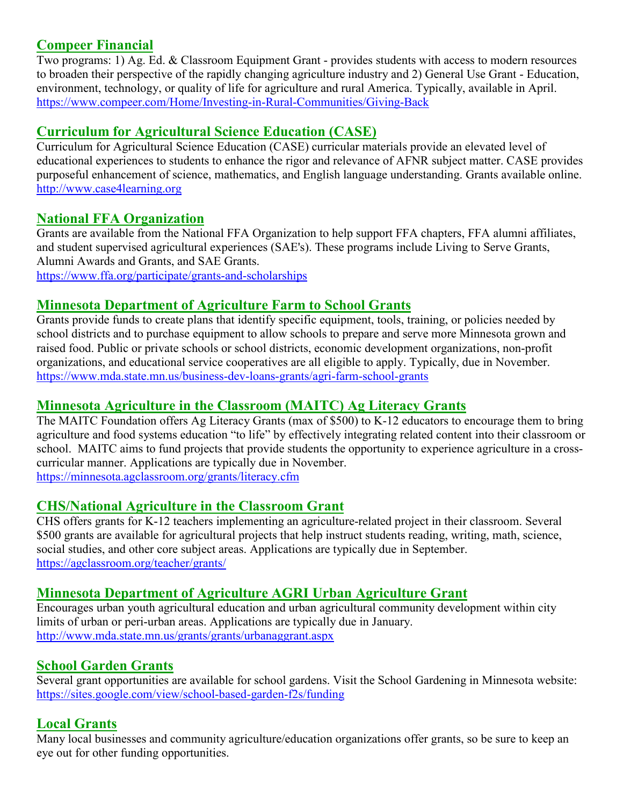#### **Compeer Financial**

Two programs: 1) Ag. Ed. & Classroom Equipment Grant - provides students with access to modern resources to broaden their perspective of the rapidly changing agriculture industry and 2) General Use Grant - Education, environment, technology, or quality of life for agriculture and rural America. Typically, available in April. <https://www.compeer.com/Home/Investing-in-Rural-Communities/Giving-Back>

#### **Curriculum for Agricultural Science Education (CASE)**

Curriculum for Agricultural Science Education (CASE) curricular materials provide an elevated level of educational experiences to students to enhance the rigor and relevance of AFNR subject matter. CASE provides purposeful enhancement of science, mathematics, and English language understanding. Grants available online. [http://www.case4learning.org](http://www.case4learning.org/index.php/professional-development/scholarships-grants)

#### **National FFA Organization**

Grants are available from the National FFA Organization to help support FFA chapters, FFA alumni affiliates, and student supervised agricultural experiences (SAE's). These programs include Living to Serve Grants, Alumni Awards and Grants, and SAE Grants. <https://www.ffa.org/participate/grants-and-scholarships>

#### **Minnesota Department of Agriculture Farm to School Grants**

Grants provide funds to create plans that identify specific equipment, tools, training, or policies needed by school districts and to purchase equipment to allow schools to prepare and serve more Minnesota grown and raised food. Public or private schools or school districts, economic development organizations, non-profit organizations, and educational service cooperatives are all eligible to apply. Typically, due in November. <https://www.mda.state.mn.us/business-dev-loans-grants/agri-farm-school-grants>

#### **Minnesota Agriculture in the Classroom (MAITC) Ag Literacy Grants**

The MAITC Foundation offers Ag Literacy Grants (max of \$500) to K-12 educators to encourage them to bring agriculture and food systems education "to life" by effectively integrating related content into their classroom or school. MAITC aims to fund projects that provide students the opportunity to experience agriculture in a crosscurricular manner. Applications are typically due in November. <https://minnesota.agclassroom.org/grants/literacy.cfm>

#### **CHS/National Agriculture in the Classroom Grant**

CHS offers grants for K-12 teachers implementing an agriculture-related project in their classroom. Several \$500 grants are available for agricultural projects that help instruct students reading, writing, math, science, social studies, and other core subject areas. Applications are typically due in September. <https://agclassroom.org/teacher/grants/>

#### **Minnesota Department of Agriculture AGRI Urban Agriculture Grant**

Encourages urban youth agricultural education and urban agricultural community development within city limits of urban or peri-urban areas. Applications are typically due in January. <http://www.mda.state.mn.us/grants/grants/urbanaggrant.aspx>

### **School Garden Grants**

Several grant opportunities are available for school gardens. Visit the School Gardening in Minnesota website: <https://sites.google.com/view/school-based-garden-f2s/funding>

### **Local Grants**

Many local businesses and community agriculture/education organizations offer grants, so be sure to keep an eye out for other funding opportunities.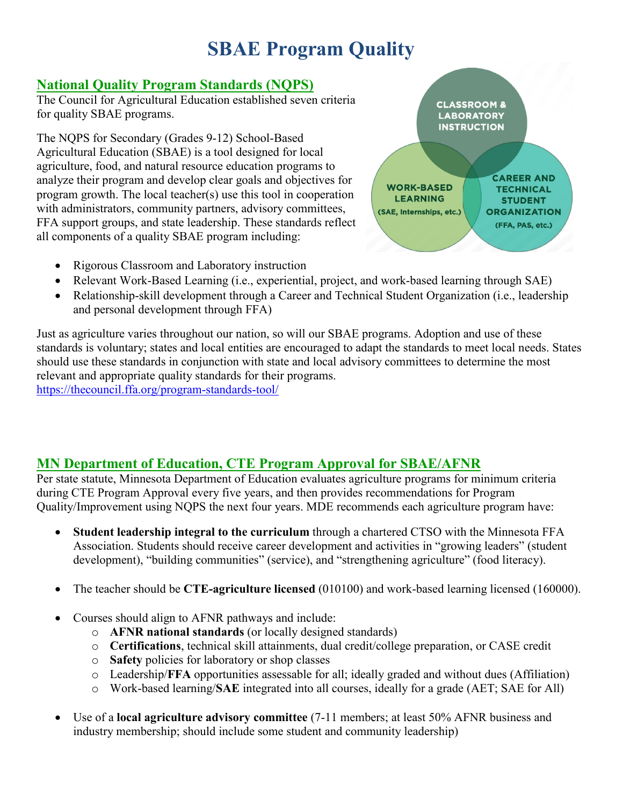# **SBAE Program Quality**

### **National Quality Program Standards (NQPS)**

The Council for Agricultural Education established seven criteria for quality SBAE programs.

The NQPS for Secondary (Grades 9-12) School-Based Agricultural Education (SBAE) is a tool designed for local agriculture, food, and natural resource education programs to analyze their program and develop clear goals and objectives for program growth. The local teacher(s) use this tool in cooperation with administrators, community partners, advisory committees, FFA support groups, and state leadership. These standards reflect all components of a quality SBAE program including:

- Rigorous Classroom and Laboratory instruction
- Relevant Work-Based Learning (i.e., experiential, project, and work-based learning through SAE)
- Relationship-skill development through a Career and Technical Student Organization (i.e., leadership and personal development through FFA)

Just as agriculture varies throughout our nation, so will our SBAE programs. Adoption and use of these standards is voluntary; states and local entities are encouraged to adapt the standards to meet local needs. States should use these standards in conjunction with state and local advisory committees to determine the most relevant and appropriate quality standards for their programs. <https://thecouncil.ffa.org/program-standards-tool/>

## **MN Department of Education, CTE Program Approval for SBAE/AFNR**

Per state statute, Minnesota Department of Education evaluates agriculture programs for minimum criteria during CTE Program Approval every five years, and then provides recommendations for Program Quality/Improvement using NQPS the next four years. MDE recommends each agriculture program have:

- **Student leadership integral to the curriculum** through a chartered CTSO with the Minnesota FFA Association. Students should receive career development and activities in "growing leaders" (student development), "building communities" (service), and "strengthening agriculture" (food literacy).
- The teacher should be **CTE-agriculture licensed** (010100) and work-based learning licensed (160000).
- Courses should align to AFNR pathways and include:
	- o **AFNR national standards** (or locally designed standards)
	- o **Certifications**, technical skill attainments, dual credit/college preparation, or CASE credit
	- o **Safety** policies for laboratory or shop classes
	- o Leadership/**FFA** opportunities assessable for all; ideally graded and without dues (Affiliation)
	- o Work-based learning/**SAE** integrated into all courses, ideally for a grade (AET; SAE for All)
- Use of a **local agriculture advisory committee** (7-11 members; at least 50% AFNR business and industry membership; should include some student and community leadership)